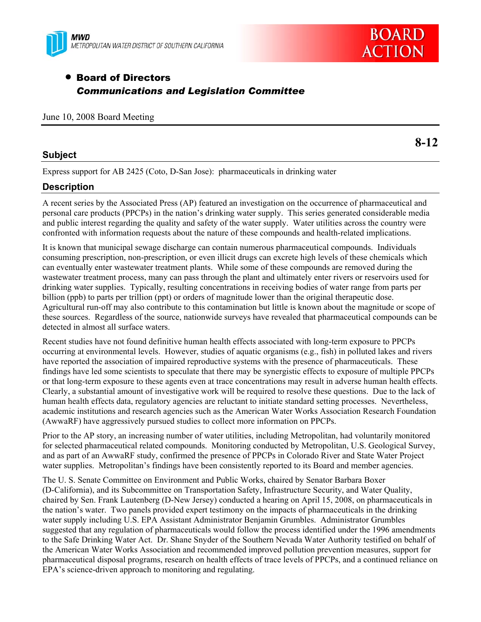



# • Board of Directors *Communications and Legislation Committee*

June 10, 2008 Board Meeting

#### **Subject**

**8-12** 

Express support for AB 2425 (Coto, D-San Jose): pharmaceuticals in drinking water

## **Description**

A recent series by the Associated Press (AP) featured an investigation on the occurrence of pharmaceutical and personal care products (PPCPs) in the nation's drinking water supply. This series generated considerable media and public interest regarding the quality and safety of the water supply. Water utilities across the country were confronted with information requests about the nature of these compounds and health-related implications.

It is known that municipal sewage discharge can contain numerous pharmaceutical compounds. Individuals consuming prescription, non-prescription, or even illicit drugs can excrete high levels of these chemicals which can eventually enter wastewater treatment plants. While some of these compounds are removed during the wastewater treatment process, many can pass through the plant and ultimately enter rivers or reservoirs used for drinking water supplies. Typically, resulting concentrations in receiving bodies of water range from parts per billion (ppb) to parts per trillion (ppt) or orders of magnitude lower than the original therapeutic dose. Agricultural run-off may also contribute to this contamination but little is known about the magnitude or scope of these sources. Regardless of the source, nationwide surveys have revealed that pharmaceutical compounds can be detected in almost all surface waters.

Recent studies have not found definitive human health effects associated with long-term exposure to PPCPs occurring at environmental levels. However, studies of aquatic organisms (e.g., fish) in polluted lakes and rivers have reported the association of impaired reproductive systems with the presence of pharmaceuticals. These findings have led some scientists to speculate that there may be synergistic effects to exposure of multiple PPCPs or that long-term exposure to these agents even at trace concentrations may result in adverse human health effects. Clearly, a substantial amount of investigative work will be required to resolve these questions. Due to the lack of human health effects data, regulatory agencies are reluctant to initiate standard setting processes. Nevertheless, academic institutions and research agencies such as the American Water Works Association Research Foundation (AwwaRF) have aggressively pursued studies to collect more information on PPCPs.

Prior to the AP story, an increasing number of water utilities, including Metropolitan, had voluntarily monitored for selected pharmaceutical related compounds. Monitoring conducted by Metropolitan, U.S. Geological Survey, and as part of an AwwaRF study, confirmed the presence of PPCPs in Colorado River and State Water Project water supplies. Metropolitan's findings have been consistently reported to its Board and member agencies.

The U. S. Senate Committee on Environment and Public Works, chaired by Senator Barbara Boxer (D-California), and its Subcommittee on Transportation Safety, Infrastructure Security, and Water Quality, chaired by Sen. Frank Lautenberg (D-New Jersey) conducted a hearing on April 15, 2008, on pharmaceuticals in the nation's water. Two panels provided expert testimony on the impacts of pharmaceuticals in the drinking water supply including U.S. EPA Assistant Administrator Benjamin Grumbles. Administrator Grumbles suggested that any regulation of pharmaceuticals would follow the process identified under the 1996 amendments to the Safe Drinking Water Act. Dr. Shane Snyder of the Southern Nevada Water Authority testified on behalf of the American Water Works Association and recommended improved pollution prevention measures, support for pharmaceutical disposal programs, research on health effects of trace levels of PPCPs, and a continued reliance on EPA's science-driven approach to monitoring and regulating.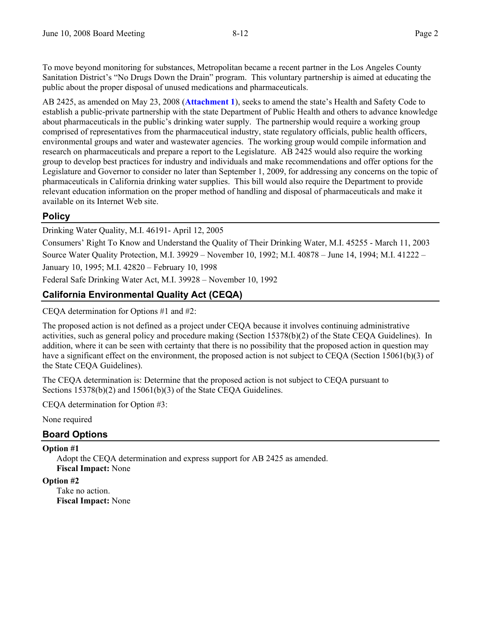To move beyond monitoring for substances, Metropolitan became a recent partner in the Los Angeles County Sanitation District's "No Drugs Down the Drain" program. This voluntary partnership is aimed at educating the public about the proper disposal of unused medications and pharmaceuticals.

AB 2425, as amended on May 23, 2008 (**Attachment 1**), seeks to amend the state's Health and Safety Code to establish a public-private partnership with the state Department of Public Health and others to advance knowledge about pharmaceuticals in the public's drinking water supply. The partnership would require a working group comprised of representatives from the pharmaceutical industry, state regulatory officials, public health officers, environmental groups and water and wastewater agencies. The working group would compile information and research on pharmaceuticals and prepare a report to the Legislature. AB 2425 would also require the working group to develop best practices for industry and individuals and make recommendations and offer options for the Legislature and Governor to consider no later than September 1, 2009, for addressing any concerns on the topic of pharmaceuticals in California drinking water supplies. This bill would also require the Department to provide relevant education information on the proper method of handling and disposal of pharmaceuticals and make it available on its Internet Web site.

# **Policy**

Drinking Water Quality, M.I. 46191- April 12, 2005

Consumers' Right To Know and Understand the Quality of Their Drinking Water, M.I. 45255 - March 11, 2003 Source Water Quality Protection, M.I. 39929 – November 10, 1992; M.I. 40878 – June 14, 1994; M.I. 41222 – January 10, 1995; M.I. 42820 – February 10, 1998

Federal Safe Drinking Water Act, M.I. 39928 – November 10, 1992

# **California Environmental Quality Act (CEQA)**

CEQA determination for Options #1 and #2:

The proposed action is not defined as a project under CEQA because it involves continuing administrative activities, such as general policy and procedure making (Section 15378(b)(2) of the State CEQA Guidelines). In addition, where it can be seen with certainty that there is no possibility that the proposed action in question may have a significant effect on the environment, the proposed action is not subject to CEOA (Section 15061(b)(3) of the State CEQA Guidelines).

The CEQA determination is: Determine that the proposed action is not subject to CEQA pursuant to Sections 15378(b)(2) and 15061(b)(3) of the State CEQA Guidelines.

CEQA determination for Option #3:

None required

## **Board Options**

#### **Option #1**

Adopt the CEQA determination and express support for AB 2425 as amended. **Fiscal Impact:** None

#### **Option #2**

Take no action. **Fiscal Impact:** None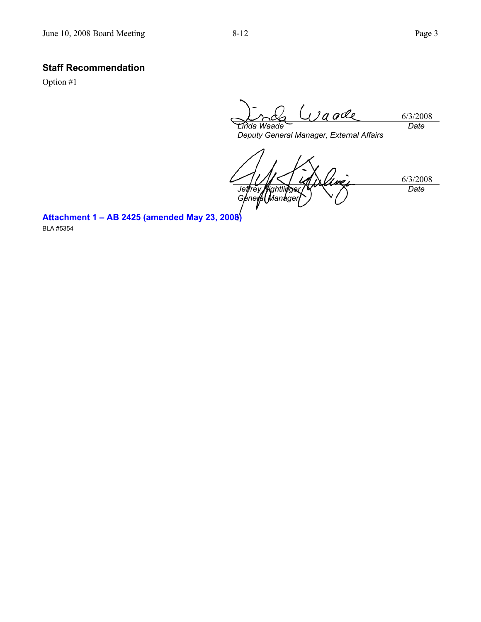# **Staff Recommendation**

Option #1

*aade* 6/3/2008 *Date Linda Waade* 

*Deputy General Manager, External Affairs* 

6/3/2008 *Jeffrey Kightlinger Genefal Manager Date* 

**Attachment 1 – AB 2425 (amended May 23, 2008)** 

BLA #5354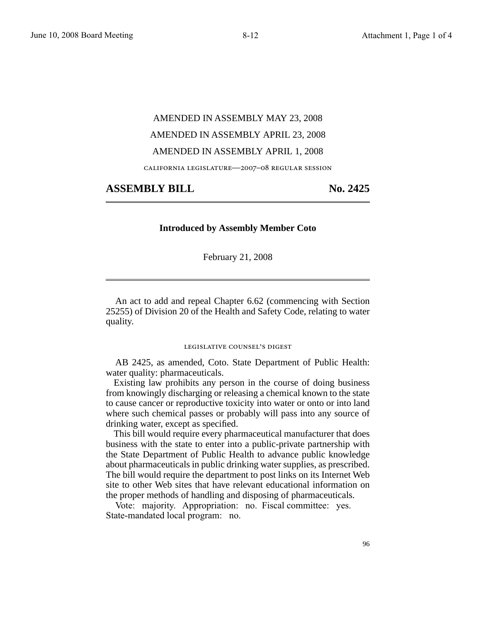# AMENDED IN ASSEMBLY MAY 23, 2008 AMENDED IN ASSEMBLY APRIL 23, 2008 AMENDED IN ASSEMBLY APRIL 1, 2008

california legislature—2007–08 regular session

#### ASSEMBLY BILL No. 2425

#### **Introduced by Assembly Member Coto**

February 21, 2008

An act to add and repeal Chapter 6.62 (commencing with Section 25255) of Division 20 of the Health and Safety Code, relating to water quality.

#### legislative counsel' s digest

AB 2425, as amended, Coto. State Department of Public Health: water quality: pharmaceuticals.

Existing law prohibits any person in the course of doing business from knowingly discharging or releasing a chemical known to the state to cause cancer or reproductive toxicity into water or onto or into land where such chemical passes or probably will pass into any source of drinking water, except as specified.

This bill would require every pharmaceutical manufacturer that does business with the state to enter into a public-private partnership with the State Department of Public Health to advance public knowledge about pharmaceuticals in public drinking water supplies, as prescribed. The bill would require the department to post links on its Internet Web site to other Web sites that have relevant educational information on the proper methods of handling and disposing of pharmaceuticals.

Vote: majority. Appropriation: no. Fiscal committee: yes. State-mandated local program: no.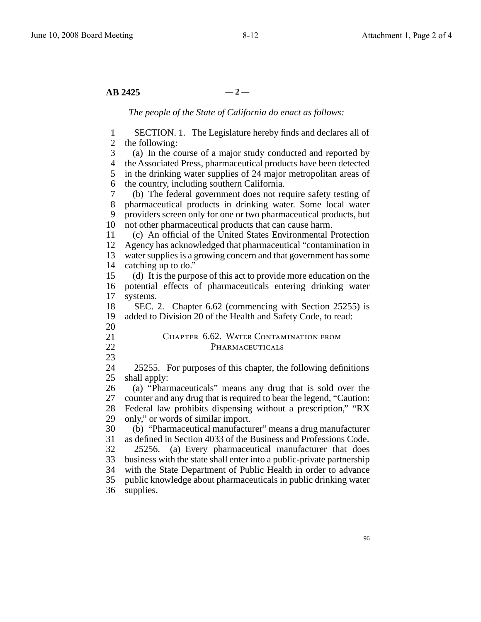$AB$  2425  $-2$  —

*The people of the State of California do enact as follows:*

1 2 the following: 3 4 5 6 7 8 9 10 11 12 13 14 15 16 17 18 19 20 21 22 23 24 25 26 27 28 29 30 31 32 33 34 35 36 SECTION. 1. The Legislature hereby finds and declares all of (a) In the course of a major study conducted and reported by the Associated Press, pharmaceutical products have been detected in the drinking water supplies of 24 major metropolitan areas of the country, including southern California. (b) The federal government does not require safety testing of pharmaceutical products in drinking water. Some local water providers screen only for one or two pharmaceutical products, but not other pharmaceutical products that can cause harm. (c) An official of the United States Environmental Protection Agency has acknowledged that pharmaceutical "contamination in water supplies is a growing concern and that government has some catching up to do." (d) It is the purpose of this act to provide more education on the potential effects of pharmaceuticals entering drinking water systems. SEC. 2. Chapter 6.62 (commencing with Section 25255) is added to Division 20 of the Health and Safety Code, to read: CHAPTER 6.62. WATER CONTAMINATION FROM PHARMACEUTICALS 25255. For purposes of this chapter, the following definitions shall apply: (a) "Pharmaceuticals" means any drug that is sold over the counter and any drug that is required to bear the legend, "Caution: Federal law prohibits dispensing without a prescription," "RX only," or words of similar import. (b) "Pharmaceutical manufacturer" means a drug manufacturer as defined in Section 4033 of the Business and Professions Code. 25256. (a) Every pharmaceutical manufacturer that does business with the state shall enter into a public-private partnership with the State Department of Public Health in order to advance public knowledge about pharmaceuticals in public drinking water supplies.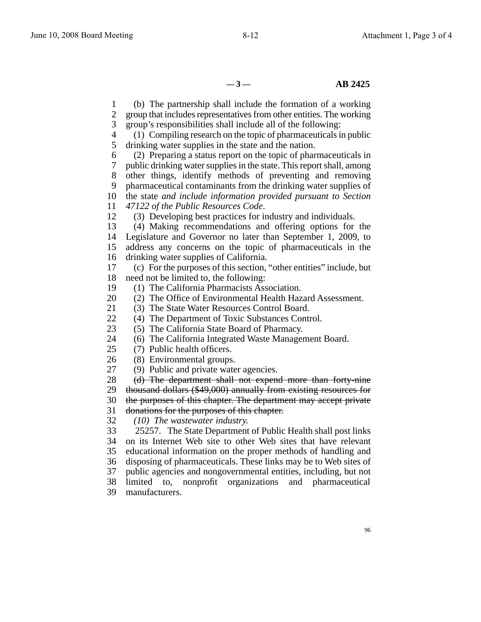$-3 - 8$  **AB 2425** 

1 2 3 4 5 6 7 8 9 10 the state *and include information provided pursuant to Section* 11 12 13 14 15 16 17 18 19 20 21 22 23 24 25 26 27 28 29 30 31 32 33 34 35 36 37 38 39 (b) The partnership shall include the formation of a working group that includes representatives from other entities. The working group's responsibilities shall include all of the following: (1) Compiling research on the topic of pharmaceuticals in public drinking water supplies in the state and the nation. (2) Preparing a status report on the topic of pharmaceuticals in public drinking water supplies in the state. This report shall, among other things, identify methods of preventing and removing pharmaceutical contaminants from the drinking water supplies of *47122 of the Public Resources Code*. (3) Developing best practices for industry and individuals. (4) Making recommendations and offering options for the Legislature and Governor no later than September 1, 2009, to address any concerns on the topic of pharmaceuticals in the drinking water supplies of California. (c) For the purposes of this section, "other entities" include, but need not be limited to, the following: (1) The California Pharmacists Association. (2) The Office of Environmental Health Hazard Assessment. (3) The State Water Resources Control Board. (4) The Department of Toxic Substances Control. (5) The California State Board of Pharmacy. (6) The California Integrated Waste Management Board. (7) Public health officers. (8) Environmental groups. (9) Public and private water agencies. (d) The department shall not expend more than forty-nine thousand dollars (\$49,000) annually from existing resources for the purposes of this chapter. The department may accept private donations for the purposes of this chapter. *(10) The wastewater industry.* 25257. The State Department of Public Health shall post links on its Internet Web site to other Web sites that have relevant educational information on the proper methods of handling and disposing of pharmaceuticals. These links may be to Web sites of public agencies and nongovernmental entities, including, but not limited to, nonprofit organizations and pharmaceutical manufacturers.